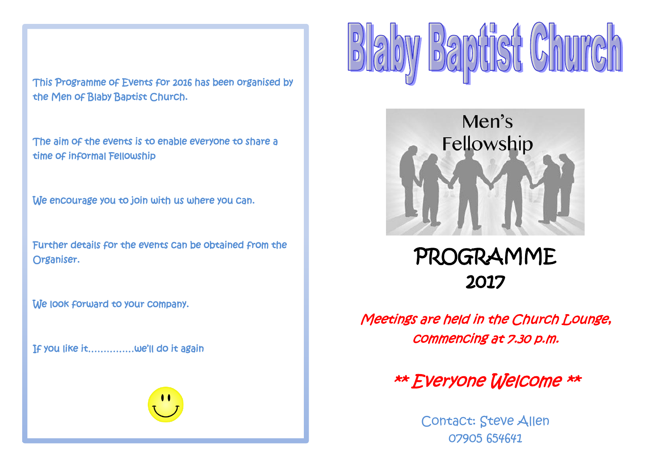This Programme of Events for 2016 has been organised by the Men of Blaby Baptist Church.

The aim of the events is to enable everyone to share a time of informal Fellowship

We encourage you to join with us where you can.

Further details for the events can be obtained from the Organiser.

We look forward to your company.

If you like it……………we'll do it again



 $\begin{bmatrix} 0 \\ 0 \\ 0 \end{bmatrix}$ 



PROGRAMME 2017

Meetings are held in the Church Lounge, commencing at 7.30 p.m.

\*\* Everyone Welcome \*\*

Contact: Steve Allen 07905 654641